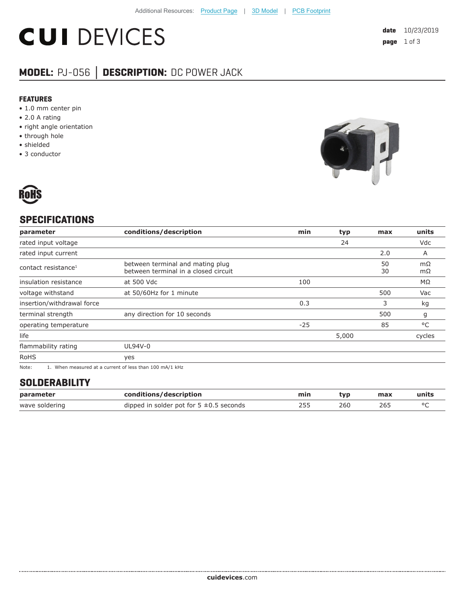# **CUI DEVICES**

### **MODEL:** PJ-056 **│ DESCRIPTION:** DC POWER JACK

#### **FEATURES**

- 1.0 mm center pin
- 2.0 A rating
- right angle orientation
- through hole
- shielded
- 3 conductor





#### **SPECIFICATIONS**

| parameter                       | conditions/description                                                   | min   | typ   | max      | units    |
|---------------------------------|--------------------------------------------------------------------------|-------|-------|----------|----------|
| rated input voltage             |                                                                          |       | 24    |          | Vdc      |
| rated input current             |                                                                          |       |       | 2.0      | A        |
| contact resistance <sup>1</sup> | between terminal and mating plug<br>between terminal in a closed circuit |       |       | 50<br>30 | mΩ<br>mΩ |
| insulation resistance           | at 500 Vdc                                                               | 100   |       |          | MΩ       |
| voltage withstand               | at 50/60Hz for 1 minute                                                  |       |       | 500      | Vac      |
| insertion/withdrawal force      |                                                                          | 0.3   |       | 3        | kg       |
| terminal strength               | any direction for 10 seconds                                             |       |       | 500      | g        |
| operating temperature           |                                                                          | $-25$ |       | 85       | °C       |
| life                            |                                                                          |       | 5,000 |          | cycles   |
| flammability rating             | UL94V-0                                                                  |       |       |          |          |
| <b>RoHS</b>                     | yes                                                                      |       |       |          |          |

Note: 1. When measured at a current of less than 100 mA/1 kHz

#### **SOLDERABILITY**

| parameter      | conditions/description                       | min | tvp | max | units |
|----------------|----------------------------------------------|-----|-----|-----|-------|
| wave soldering | dipped in solder pot for $5 \pm 0.5$ seconds | 255 | 260 | 26! |       |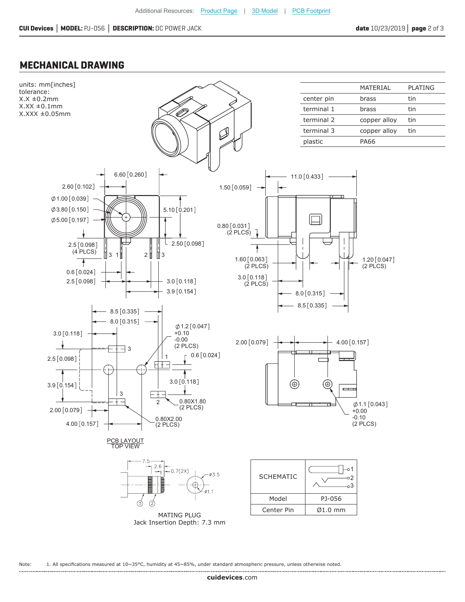#### **MECHANICAL DRAWING**



Note: 1. All specifications measured at 10~35°C, humidity at 45~85%, under standard atmospheric pressure, unless otherwise noted.